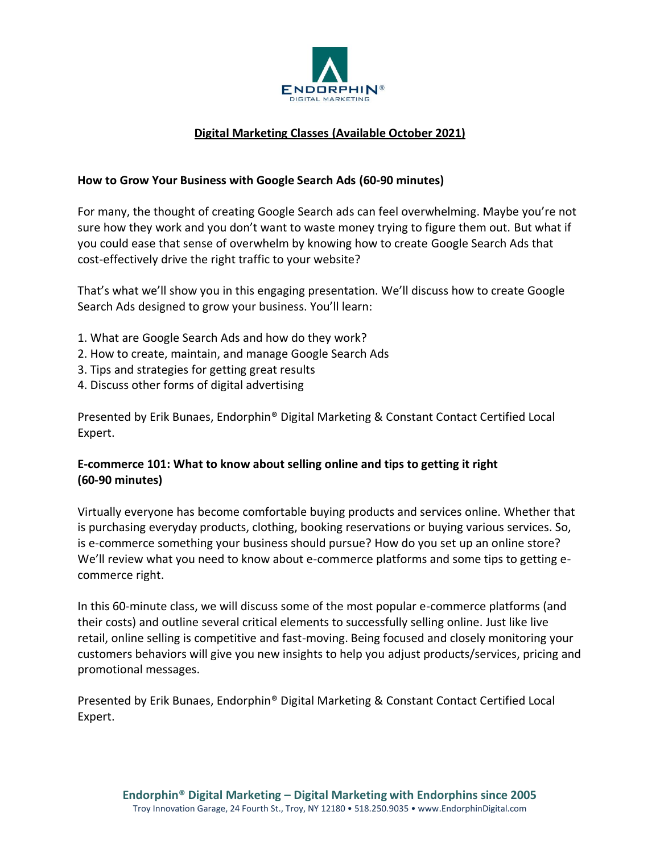

# **Digital Marketing Classes (Available October 2021)**

#### **How to Grow Your Business with Google Search Ads (60-90 minutes)**

For many, the thought of creating Google Search ads can feel overwhelming. Maybe you're not sure how they work and you don't want to waste money trying to figure them out. But what if you could ease that sense of overwhelm by knowing how to create Google Search Ads that cost-effectively drive the right traffic to your website?

That's what we'll show you in this engaging presentation. We'll discuss how to create Google Search Ads designed to grow your business. You'll learn:

- 1. What are Google Search Ads and how do they work?
- 2. How to create, maintain, and manage Google Search Ads
- 3. Tips and strategies for getting great results
- 4. Discuss other forms of digital advertising

Presented by Erik Bunaes, Endorphin® Digital Marketing & Constant Contact Certified Local Expert.

# **E-commerce 101: What to know about selling online and tips to getting it right (60-90 minutes)**

Virtually everyone has become comfortable buying products and services online. Whether that is purchasing everyday products, clothing, booking reservations or buying various services. So, is e-commerce something your business should pursue? How do you set up an online store? We'll review what you need to know about e-commerce platforms and some tips to getting ecommerce right.

In this 60-minute class, we will discuss some of the most popular e-commerce platforms (and their costs) and outline several critical elements to successfully selling online. Just like live retail, online selling is competitive and fast-moving. Being focused and closely monitoring your customers behaviors will give you new insights to help you adjust products/services, pricing and promotional messages.

Presented by Erik Bunaes, Endorphin® Digital Marketing & Constant Contact Certified Local Expert.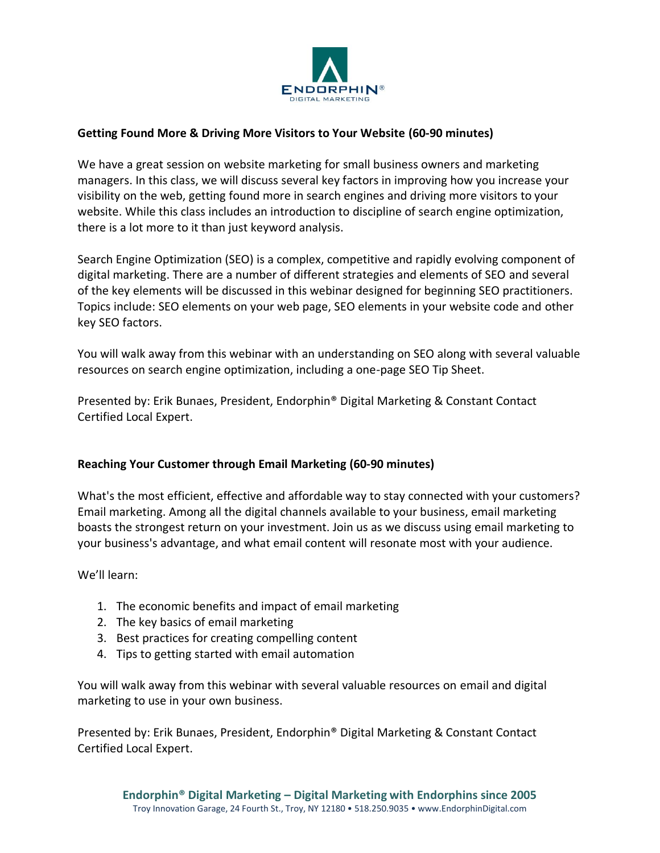

## **Getting Found More & Driving More Visitors to Your Website (60-90 minutes)**

We have a great session on website marketing for small business owners and marketing managers. In this class, we will discuss several key factors in improving how you increase your visibility on the web, getting found more in search engines and driving more visitors to your website. While this class includes an introduction to discipline of search engine optimization, there is a lot more to it than just keyword analysis.

Search Engine Optimization (SEO) is a complex, competitive and rapidly evolving component of digital marketing. There are a number of different strategies and elements of SEO and several of the key elements will be discussed in this webinar designed for beginning SEO practitioners. Topics include: SEO elements on your web page, SEO elements in your website code and other key SEO factors.

You will walk away from this webinar with an understanding on SEO along with several valuable resources on search engine optimization, including a one-page SEO Tip Sheet.

Presented by: Erik Bunaes, President, Endorphin® Digital Marketing & Constant Contact Certified Local Expert.

#### **Reaching Your Customer through Email Marketing (60-90 minutes)**

What's the most efficient, effective and affordable way to stay connected with your customers? Email marketing. Among all the digital channels available to your business, email marketing boasts the strongest return on your investment. Join us as we discuss using email marketing to your business's advantage, and what email content will resonate most with your audience.

We'll learn:

- 1. The economic benefits and impact of email marketing
- 2. The key basics of email marketing
- 3. Best practices for creating compelling content
- 4. Tips to getting started with email automation

You will walk away from this webinar with several valuable resources on email and digital marketing to use in your own business.

Presented by: Erik Bunaes, President, Endorphin® Digital Marketing & Constant Contact Certified Local Expert.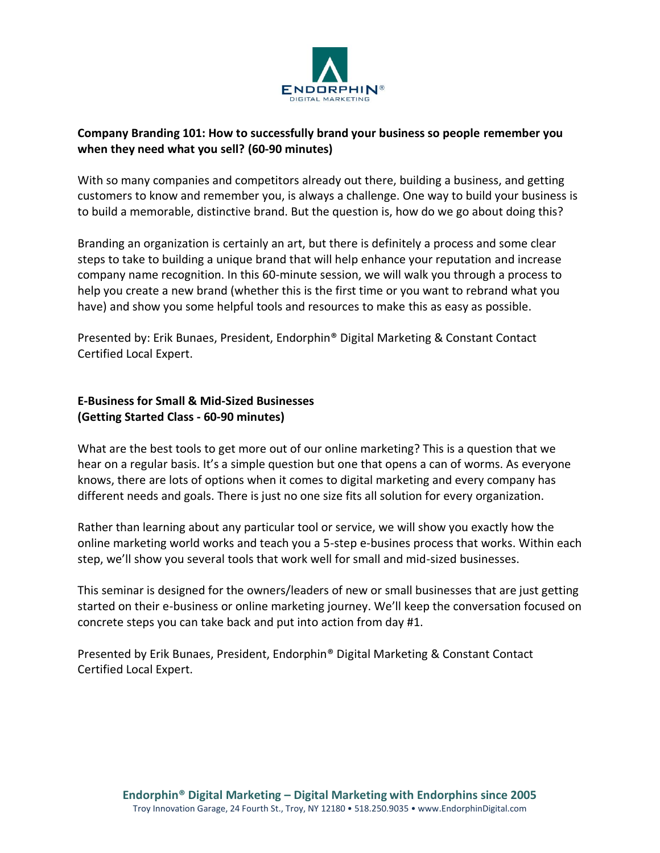

## **Company Branding 101: How to successfully brand your business so people remember you when they need what you sell? (60-90 minutes)**

With so many companies and competitors already out there, building a business, and getting customers to know and remember you, is always a challenge. One way to build your business is to build a memorable, distinctive brand. But the question is, how do we go about doing this?

Branding an organization is certainly an art, but there is definitely a process and some clear steps to take to building a unique brand that will help enhance your reputation and increase company name recognition. In this 60-minute session, we will walk you through a process to help you create a new brand (whether this is the first time or you want to rebrand what you have) and show you some helpful tools and resources to make this as easy as possible.

Presented by: Erik Bunaes, President, Endorphin® Digital Marketing & Constant Contact Certified Local Expert.

# **E-Business for Small & Mid-Sized Businesses (Getting Started Class - 60-90 minutes)**

What are the best tools to get more out of our online marketing? This is a question that we hear on a regular basis. It's a simple question but one that opens a can of worms. As everyone knows, there are lots of options when it comes to digital marketing and every company has different needs and goals. There is just no one size fits all solution for every organization.

Rather than learning about any particular tool or service, we will show you exactly how the online marketing world works and teach you a 5-step e-busines process that works. Within each step, we'll show you several tools that work well for small and mid-sized businesses.

This seminar is designed for the owners/leaders of new or small businesses that are just getting started on their e-business or online marketing journey. We'll keep the conversation focused on concrete steps you can take back and put into action from day #1.

Presented by Erik Bunaes, President, Endorphin® Digital Marketing & Constant Contact Certified Local Expert.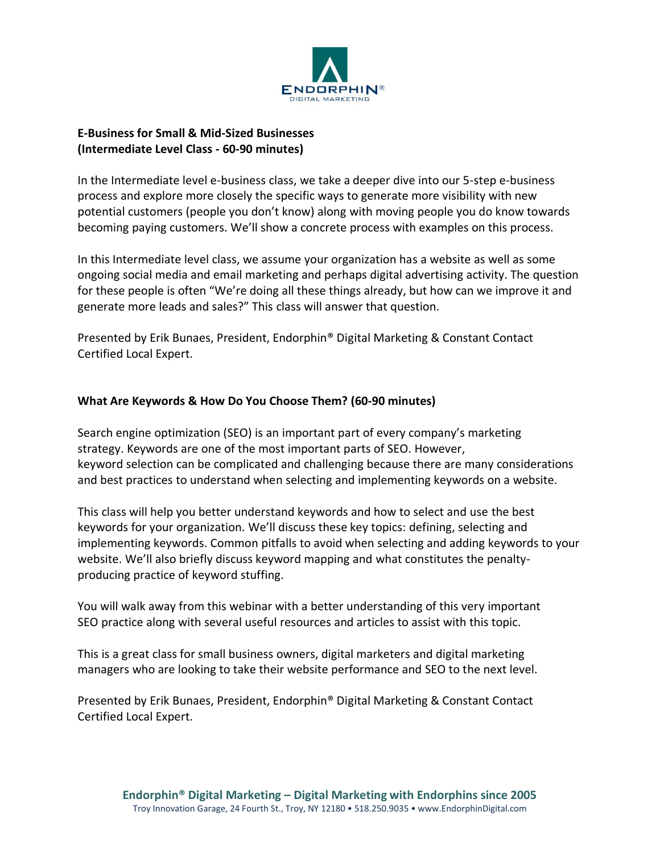

## **E-Business for Small & Mid-Sized Businesses (Intermediate Level Class - 60-90 minutes)**

In the Intermediate level e-business class, we take a deeper dive into our 5-step e-business process and explore more closely the specific ways to generate more visibility with new potential customers (people you don't know) along with moving people you do know towards becoming paying customers. We'll show a concrete process with examples on this process.

In this Intermediate level class, we assume your organization has a website as well as some ongoing social media and email marketing and perhaps digital advertising activity. The question for these people is often "We're doing all these things already, but how can we improve it and generate more leads and sales?" This class will answer that question.

Presented by Erik Bunaes, President, Endorphin® Digital Marketing & Constant Contact Certified Local Expert.

## **What Are Keywords & How Do You Choose Them? (60-90 minutes)**

Search engine optimization (SEO) is an important part of every company's marketing strategy. Keywords are one of the most important parts of SEO. However, keyword selection can be complicated and challenging because there are many considerations and best practices to understand when selecting and implementing keywords on a website.

This class will help you better understand keywords and how to select and use the best keywords for your organization. We'll discuss these key topics: defining, selecting and implementing keywords. Common pitfalls to avoid when selecting and adding keywords to your website. We'll also briefly discuss keyword mapping and what constitutes the penaltyproducing practice of keyword stuffing.

You will walk away from this webinar with a better understanding of this very important SEO practice along with several useful resources and articles to assist with this topic.

This is a great class for small business owners, digital marketers and digital marketing managers who are looking to take their website performance and SEO to the next level.

Presented by Erik Bunaes, President, Endorphin® Digital Marketing & Constant Contact Certified Local Expert.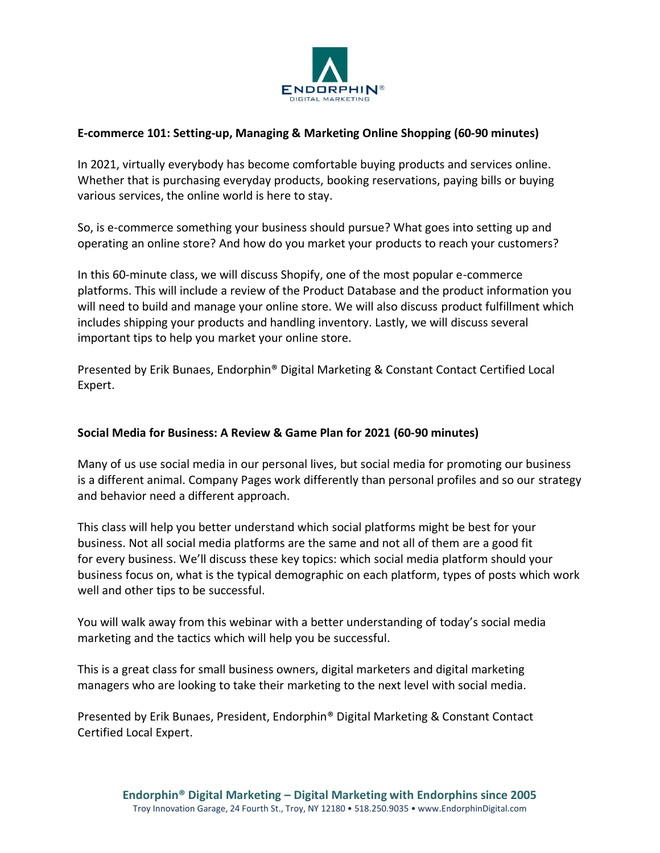

## **E-commerce 101: Setting-up, Managing & Marketing Online Shopping (60-90 minutes)**

In 2021, virtually everybody has become comfortable buying products and services online. Whether that is purchasing everyday products, booking reservations, paying bills or buying various services, the online world is here to stay.

So, is e-commerce something your business should pursue? What goes into setting up and operating an online store? And how do you market your products to reach your customers?

In this 60-minute class, we will discuss Shopify, one of the most popular e-commerce platforms. This will include a review of the Product Database and the product information you will need to build and manage your online store. We will also discuss product fulfillment which includes shipping your products and handling inventory. Lastly, we will discuss several important tips to help you market your online store.

Presented by Erik Bunaes, Endorphin® Digital Marketing & Constant Contact Certified Local Expert.

#### **Social Media for Business: A Review & Game Plan for 2021 (60-90 minutes)**

Many of us use social media in our personal lives, but social media for promoting our business is a different animal. Company Pages work differently than personal profiles and so our strategy and behavior need a different approach.

This class will help you better understand which social platforms might be best for your business. Not all social media platforms are the same and not all of them are a good fit for every business. We'll discuss these key topics: which social media platform should your business focus on, what is the typical demographic on each platform, types of posts which work well and other tips to be successful.

You will walk away from this webinar with a better understanding of today's social media marketing and the tactics which will help you be successful.

This is a great class for small business owners, digital marketers and digital marketing managers who are looking to take their marketing to the next level with social media. 

Presented by Erik Bunaes, President, Endorphin® Digital Marketing & Constant Contact Certified Local Expert.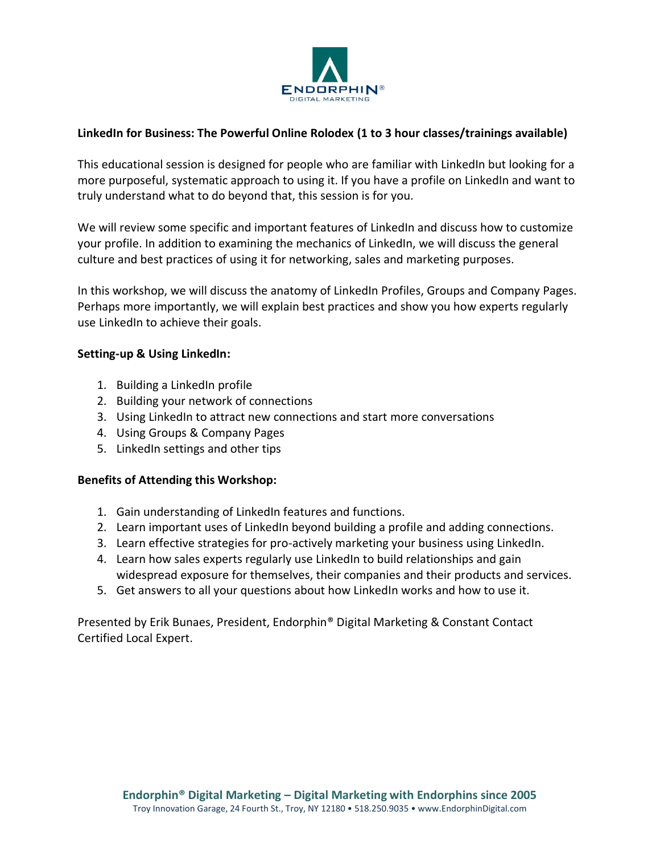

## **LinkedIn for Business: The Powerful Online Rolodex (1 to 3 hour classes/trainings available)**

This educational session is designed for people who are familiar with LinkedIn but looking for a more purposeful, systematic approach to using it. If you have a profile on LinkedIn and want to truly understand what to do beyond that, this session is for you.

We will review some specific and important features of LinkedIn and discuss how to customize your profile. In addition to examining the mechanics of LinkedIn, we will discuss the general culture and best practices of using it for networking, sales and marketing purposes.

In this workshop, we will discuss the anatomy of LinkedIn Profiles, Groups and Company Pages. Perhaps more importantly, we will explain best practices and show you how experts regularly use LinkedIn to achieve their goals.

#### **Setting-up & Using LinkedIn:**

- 1. Building a LinkedIn profile
- 2. Building your network of connections
- 3. Using LinkedIn to attract new connections and start more conversations
- 4. Using Groups & Company Pages
- 5. LinkedIn settings and other tips

#### **Benefits of Attending this Workshop:**

- 1. Gain understanding of LinkedIn features and functions.
- 2. Learn important uses of LinkedIn beyond building a profile and adding connections.
- 3. Learn effective strategies for pro-actively marketing your business using LinkedIn.
- 4. Learn how sales experts regularly use LinkedIn to build relationships and gain widespread exposure for themselves, their companies and their products and services.
- 5. Get answers to all your questions about how LinkedIn works and how to use it.

Presented by Erik Bunaes, President, Endorphin® Digital Marketing & Constant Contact Certified Local Expert.